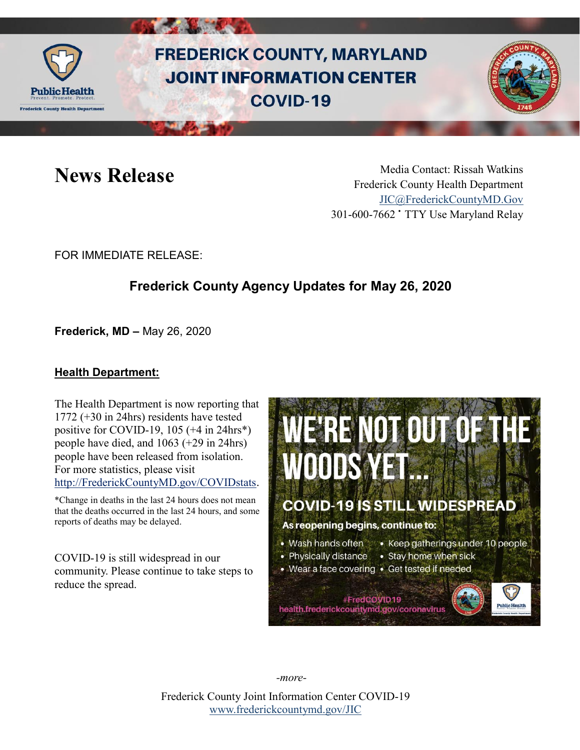

# **FREDERICK COUNTY, MARYLAND JOINT INFORMATION CENTER COVID-19**

News Release Media Contact: Rissah Watkins Frederick County Health Department [JIC@FrederickCountyMD.Gov](mailto:JIC@FrederickCountyMD.Gov) 301-600-7662 • TTY Use Maryland Relay

FOR IMMEDIATE RELEASE:

## **Frederick County Agency Updates for May 26, 2020**

**Frederick, MD –** May 26, 2020

#### **Health Department:**

The Health Department is now reporting that 1772 (+30 in 24hrs) residents have tested positive for COVID-19, 105 (+4 in 24hrs\*) people have died, and 1063 (+29 in 24hrs) people have been released from isolation. For more statistics, please visit [http://FrederickCountyMD.gov/COVIDstats](http://frederickcountymd.gov/COVIDstats).

\*Change in deaths in the last 24 hours does not mean that the deaths occurred in the last 24 hours, and some reports of deaths may be delayed.

COVID-19 is still widespread in our community. Please continue to take steps to reduce the spread.



*-more-*

Frederick County Joint Information Center COVID-19 [www.frederickcountymd.gov/JIC](https://frederickcountymd.gov/JIC)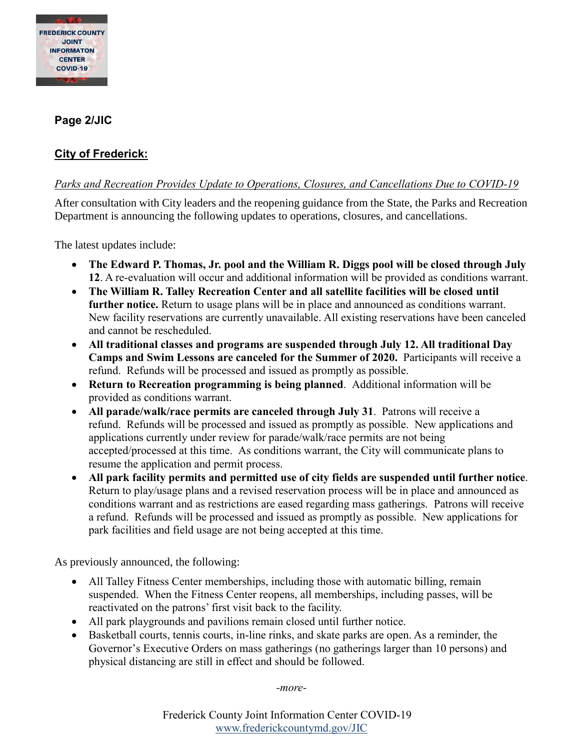

### **Page 2/JIC**

### **City of Frederick:**

#### *Parks and Recreation Provides Update to Operations, Closures, and Cancellations Due to COVID-19*

After consultation with City leaders and the reopening guidance from the State, the Parks and Recreation Department is announcing the following updates to operations, closures, and cancellations.

The latest updates include:

- **The Edward P. Thomas, Jr. pool and the William R. Diggs pool will be closed through July 12**. A re-evaluation will occur and additional information will be provided as conditions warrant.
- **The William R. Talley Recreation Center and all satellite facilities will be closed until further notice.** Return to usage plans will be in place and announced as conditions warrant. New facility reservations are currently unavailable. All existing reservations have been canceled and cannot be rescheduled.
- **All traditional classes and programs are suspended through July 12. All traditional Day Camps and Swim Lessons are canceled for the Summer of 2020.** Participants will receive a refund. Refunds will be processed and issued as promptly as possible.
- **Return to Recreation programming is being planned**. Additional information will be provided as conditions warrant.
- **All parade/walk/race permits are canceled through July 31**. Patrons will receive a refund. Refunds will be processed and issued as promptly as possible. New applications and applications currently under review for parade/walk/race permits are not being accepted/processed at this time. As conditions warrant, the City will communicate plans to resume the application and permit process.
- **All park facility permits and permitted use of city fields are suspended until further notice**. Return to play/usage plans and a revised reservation process will be in place and announced as conditions warrant and as restrictions are eased regarding mass gatherings. Patrons will receive a refund. Refunds will be processed and issued as promptly as possible. New applications for park facilities and field usage are not being accepted at this time.

As previously announced, the following:

- All Talley Fitness Center memberships, including those with automatic billing, remain suspended. When the Fitness Center reopens, all memberships, including passes, will be reactivated on the patrons' first visit back to the facility.
- All park playgrounds and pavilions remain closed until further notice.
- Basketball courts, tennis courts, in-line rinks, and skate parks are open. As a reminder, the Governor's Executive Orders on mass gatherings (no gatherings larger than 10 persons) and physical distancing are still in effect and should be followed.

*-more-*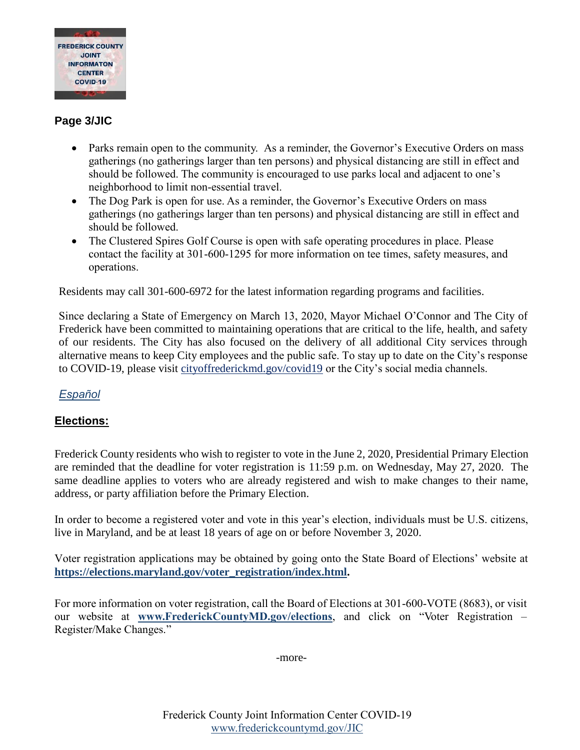

### **Page 3/JIC**

- Parks remain open to the community. As a reminder, the Governor's Executive Orders on mass gatherings (no gatherings larger than ten persons) and physical distancing are still in effect and should be followed. The community is encouraged to use parks local and adjacent to one's neighborhood to limit non-essential travel.
- The Dog Park is open for use. As a reminder, the Governor's Executive Orders on mass gatherings (no gatherings larger than ten persons) and physical distancing are still in effect and should be followed.
- The Clustered Spires Golf Course is open with safe operating procedures in place. Please contact the facility at 301-600-1295 for more information on tee times, safety measures, and operations.

Residents may call 301-600-6972 for the latest information regarding programs and facilities.

Since declaring a State of Emergency on March 13, 2020, Mayor Michael O'Connor and The City of Frederick have been committed to maintaining operations that are critical to the life, health, and safety of our residents. The City has also focused on the delivery of all additional City services through alternative means to keep City employees and the public safe. To stay up to date on the City's response to COVID-19, please visit cityoffrederickmd.gov/covid19 or the City's social media channels.

#### *[Español](https://www.cityoffrederickmd.gov/CivicAlerts.aspx?AID=6190)*

#### **Elections:**

Frederick County residents who wish to register to vote in the June 2, 2020, Presidential Primary Election are reminded that the deadline for voter registration is 11:59 p.m. on Wednesday, May 27, 2020. The same deadline applies to voters who are already registered and wish to make changes to their name, address, or party affiliation before the Primary Election.

In order to become a registered voter and vote in this year's election, individuals must be U.S. citizens, live in Maryland, and be at least 18 years of age on or before November 3, 2020.

Voter registration applications may be obtained by going onto the State Board of Elections' website at **[https://elections.maryland.gov/voter\\_registration/index.html.](https://elections.maryland.gov/voter_registration/index.html)**

For more information on voter registration, call the Board of Elections at 301-600-VOTE (8683), or visit our website at **[www.FrederickCountyMD.gov/elections](http://www.frederickcountymd.gov/elections)**, and click on "Voter Registration – Register/Make Changes."

-more-